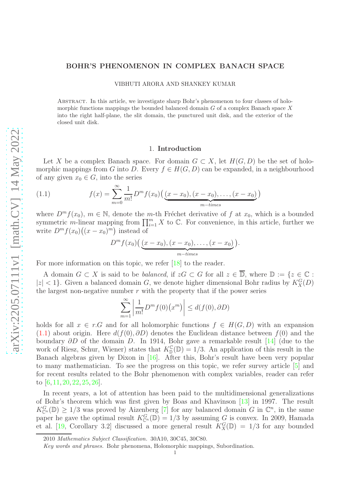# BOHR'S PHENOMENON IN COMPLEX BANACH SPACE

VIBHUTI ARORA AND SHANKEY KUMAR

Abstract. In this article, we investigate sharp Bohr's phenomenon to four classes of holomorphic functions mappings the bounded balanced domain  $G$  of a complex Banach space X into the right half-plane, the slit domain, the punctured unit disk, and the exterior of the closed unit disk.

## 1. Introduction

Let X be a complex Banach space. For domain  $G \subset X$ , let  $H(G, D)$  be the set of holomorphic mappings from G into D. Every  $f \in H(G, D)$  can be expanded, in a neighbourhood of any given  $x_0 \in G$ , into the series

<span id="page-0-0"></span>(1.1) 
$$
f(x) = \sum_{m=0}^{\infty} \frac{1}{m!} D^m f(x_0) \left( \underbrace{(x - x_0), (x - x_0), \dots, (x - x_0)}_{m-times} \right)
$$

where  $D^m f(x_0)$ ,  $m \in \mathbb{N}$ , denote the m-th Fréchet derivative of f at  $x_0$ , which is a bounded symmetric m-linear mapping from  $\prod_{i=1}^m X$  to  $\mathbb{C}$ . For convenience, in this article, further we write  $D^m f(x_0)((x - x_0)^m)$  instead of

$$
D^{m} f(x_0) \big( \underbrace{(x-x_0), (x-x_0), \ldots, (x-x_0)}_{m-times} \big).
$$

For more information on this topic, we refer [\[18\]](#page-6-0) to the reader.

A domain  $G \subset X$  is said to be *balanced*, if  $zG \subset G$  for all  $z \in \overline{\mathbb{D}}$ , where  $\mathbb{D} := \{z \in \mathbb{C} :$  $|z| < 1$ . Given a balanced domain G, we denote higher dimensional Bohr radius by  $K_X^G(D)$ the largest non-negative number  $r$  with the property that if the power series

$$
\sum_{m=1}^{\infty} \left| \frac{1}{m!} D^m f(0) (x^m) \right| \le d(f(0), \partial D)
$$

holds for all  $x \in r.G$  and for all holomorphic functions  $f \in H(G, D)$  with an expansion [\(1.1\)](#page-0-0) about origin. Here  $d(f(0), \partial D)$  denotes the Euclidean distance between  $f(0)$  and the boundary  $\partial D$  of the domain D. In 1914, Bohr gave a remarkable result [\[14\]](#page-6-1) (due to the work of Riesz, Schur, Wiener) states that  $K_{\mathbb{D}}^{\mathbb{C}}(\mathbb{D})=1/3$ . An application of this result in the Banach algebras given by Dixon in [\[16\]](#page-6-2). After this, Bohr's result have been very popular to many mathematician. To see the progress on this topic, we refer survey article [\[5\]](#page-6-3) and for recent results related to the Bohr phenomenon with complex variables, reader can refer to [\[6,](#page-6-4) [11,](#page-6-5) [20,](#page-7-0) [22,](#page-7-1) [25,](#page-7-2) [26\]](#page-7-3).

In recent years, a lot of attention has been paid to the multidimensional generalizations of Bohr's theorem which was first given by Boas and Khavinson [\[13\]](#page-6-6) in 1997. The result  $K_{\mathbb{C}^n}^G(\mathbb{D}) \geq 1/3$  was proved by Aizenberg [\[7\]](#page-6-7) for any balanced domain G in  $\mathbb{C}^n$ , in the same paper he gave the optimal result  $K_{\mathbb{C}^n}^G(\mathbb{D}) = 1/3$  by assuming G is convex. In 2009, Hamada et al. [\[19,](#page-7-4) Corollary 3.2] discussed a more general result  $K_X^G(\mathbb{D}) = 1/3$  for any bounded

<sup>2010</sup> Mathematics Subject Classification. 30A10, 30C45, 30C80.

Key words and phrases. Bohr phenomena, Holomorphic mappings, Subordination.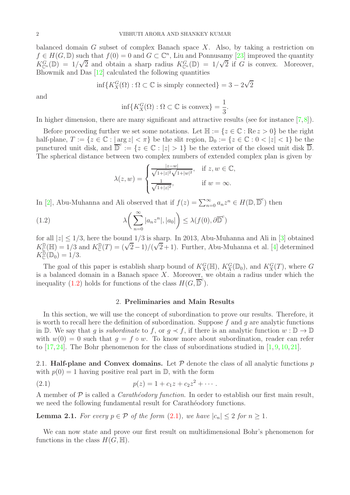balanced domain G subset of complex Banach space  $X$ . Also, by taking a restriction on  $f \in H(G, \mathbb{D})$  such that  $f(0) = 0$  and  $G \subset \mathbb{C}^n$ , Liu and Ponnusamy [\[23\]](#page-7-5) improved the quantity  $K_{\mathbb{C}^n}^G(\mathbb{D}) = 1/\sqrt{2}$  and obtain a sharp radius  $K_{\mathbb{C}^n}^G(\mathbb{D}) = 1/\sqrt{2}$  if G is convex. Moreover, Bhowmik and Das [\[12\]](#page-6-8) calculated the following quantities

$$
\inf\{K_X^G(\Omega): \Omega\subset\mathbb{C} \text{ is simply connected}\}=3-2\sqrt{2}
$$

and

$$
\inf\{K_X^G(\Omega) : \Omega \subset \mathbb{C} \text{ is convex}\} = \frac{1}{3}.
$$

In higher dimension, there are many significant and attractive results (see for instance [\[7,](#page-6-7)[8\]](#page-6-9)).

Before proceeding further we set some notations. Let  $\mathbb{H} := \{z \in \mathbb{C} : \text{Re } z > 0\}$  be the right half-plane,  $T := \{z \in \mathbb{C} : |\arg z| < \pi\}$  be the slit region,  $\mathbb{D}_0 := \{z \in \mathbb{C} : 0 < |z| < 1\}$  be the punctured unit disk, and  $\overline{\mathbb{D}}^c := \{z \in \mathbb{C} : |z| > 1\}$  be the exterior of the closed unit disk  $\overline{\mathbb{D}}$ . The spherical distance between two complex numbers of extended complex plan is given by

<span id="page-1-0"></span>
$$
\lambda(z, w) = \begin{cases} \frac{|z - w|}{\sqrt{1 + |z|^2} \sqrt{1 + |w|^2}}, & \text{if } z, w \in \mathbb{C}, \\ \frac{1}{\sqrt{1 + |z|^2}}, & \text{if } w = \infty. \end{cases}
$$

In [\[2\]](#page-6-10), Abu-Muhanna and Ali observed that if  $f(z) = \sum_{n=0}^{\infty} a_n z^n \in H(\mathbb{D}, \overline{\mathbb{D}}^c)$  then

(1.2) 
$$
\lambda\bigg(\sum_{n=0}^{\infty}|a_nz^n|,|a_0|\bigg)\leq\lambda(f(0),\partial\overline{\mathbb{D}}^c)
$$

for all  $|z| \leq 1/3$ , here the bound  $1/3$  is sharp. In 2013, Abu-Muhanna and Ali in [\[3\]](#page-6-11) obtained  $K_{\mathbb{C}}^{\mathbb{D}}(\mathbb{H}) = 1/3$  and  $K_{\mathbb{C}}^{\mathbb{D}}(T) = (\sqrt{2}-1)/(\sqrt{2}+1)$ . Further, Abu-Muhanna et al. [\[4\]](#page-6-12) determined  $K_{\mathbb{C}}^{\mathbb{D}}(\mathbb{D}_0) = 1/3.$ 

The goal of this paper is establish sharp bound of  $K_X^G(\mathbb{H})$ ,  $K_X^G(\mathbb{D}_0)$ , and  $K_X^G(T)$ , where G is a balanced domain in a Banach space  $X$ . Moreover, we obtain a radius under which the inequality [\(1.2\)](#page-1-0) holds for functions of the class  $H(G, \overline{\mathbb{D}}^c)$ .

## <span id="page-1-1"></span>2. Preliminaries and Main Results

In this section, we will use the concept of subordination to prove our results. Therefore, it is worth to recall here the definition of subordination. Suppose  $f$  and  $g$  are analytic functions in D. We say that g is *subordinate* to f, or  $g \prec f$ , if there is an analytic function  $w : \mathbb{D} \to \mathbb{D}$ with  $w(0) = 0$  such that  $q = f \circ w$ . To know more about subordination, reader can refer to [\[17,](#page-6-13) [24\]](#page-7-6). The Bohr phenomenon for the class of subordinations studied in [\[1,](#page-6-14) [9,](#page-6-15) [10,](#page-6-16) [21\]](#page-7-7).

2.1. Half-plane and Convex domains. Let  $P$  denote the class of all analytic functions p with  $p(0) = 1$  having positive real part in  $\mathbb{D}$ , with the form

(2.1) 
$$
p(z) = 1 + c_1 z + c_2 z^2 + \cdots
$$

A member of  $P$  is called a *Carathéodory function*. In order to establish our first main result, we need the following fundamental result for Carathéodory functions.

<span id="page-1-2"></span>**Lemma 2.1.** For every  $p \in \mathcal{P}$  of the form  $(2.1)$ , we have  $|c_n| \leq 2$  for  $n \geq 1$ .

We can now state and prove our first result on multidimensional Bohr's phenomenon for functions in the class  $H(G, \mathbb{H})$ .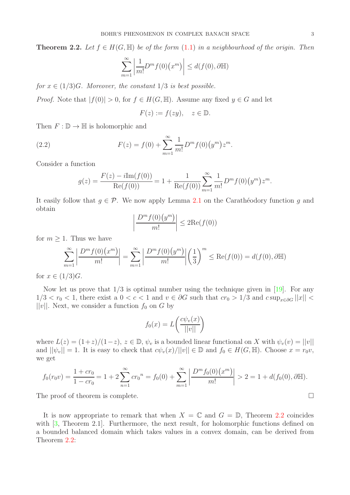<span id="page-2-0"></span>**Theorem 2.2.** Let  $f \in H(G, \mathbb{H})$  be of the form  $(1.1)$  in a neighbourhood of the origin. Then

$$
\sum_{m=1}^{\infty} \left| \frac{1}{m!} D^m f(0) \left( x^m \right) \right| \le d(f(0), \partial \mathbb{H})
$$

for  $x \in (1/3)G$ . Moreover, the constant  $1/3$  is best possible.

*Proof.* Note that  $|f(0)| > 0$ , for  $f \in H(G, \mathbb{H})$ . Assume any fixed  $y \in G$  and let

<span id="page-2-1"></span>
$$
F(z) := f(zy), \quad z \in \mathbb{D}.
$$

Then  $F: \mathbb{D} \to \mathbb{H}$  is holomorphic and

(2.2) 
$$
F(z) = f(0) + \sum_{m=1}^{\infty} \frac{1}{m!} D^m f(0) (y^m) z^m.
$$

Consider a function

$$
g(z) = \frac{F(z) - i \text{Im}(f(0))}{\text{Re}(f(0))} = 1 + \frac{1}{\text{Re}(f(0))} \sum_{m=1}^{\infty} \frac{1}{m!} D^m f(0) (y^m) z^m.
$$

It easily follow that  $g \in \mathcal{P}$ . We now apply Lemma [2.1](#page-1-2) on the Carathéodory function g and obtain

$$
\left| \frac{D^m f(0)(y^m)}{m!} \right| \le 2\text{Re}(f(0))
$$

for  $m \geq 1$ . Thus we have

$$
\sum_{m=1}^{\infty} \left| \frac{D^m f(0)(x^m)}{m!} \right| = \sum_{m=1}^{\infty} \left| \frac{D^m f(0)(y^m)}{m!} \right| \left( \frac{1}{3} \right)^m \le \text{Re}(f(0)) = d(f(0), \partial \mathbb{H})
$$

for  $x \in (1/3)G$ .

Now let us prove that  $1/3$  is optimal number using the technique given in [\[19\]](#page-7-4). For any  $1/3 < r_0 < 1$ , there exist a  $0 < c < 1$  and  $v \in \partial G$  such that  $cr_0 > 1/3$  and  $c \sup_{x \in \partial G} ||x|| <$  $||v||$ . Next, we consider a function  $f_0$  on G by

$$
f_0(x) = L\left(\frac{c\psi_v(x)}{||v||}\right)
$$

where  $L(z) = (1+z)/(1-z)$ ,  $z \in \mathbb{D}$ ,  $\psi_v$  is a bounded linear functional on X with  $\psi_v(v) = ||v||$ and  $||\psi_v|| = 1$ . It is easy to check that  $c\psi_v(x)/||v|| \in \mathbb{D}$  and  $f_0 \in H(G, \mathbb{H})$ . Choose  $x = r_0v$ , we get

$$
f_0(r_0v) = \frac{1+cr_0}{1-cr_0} = 1 + 2\sum_{n=1}^{\infty} cr_0^n = f_0(0) + \sum_{m=1}^{\infty} \left| \frac{D^m f_0(0)(x^m)}{m!} \right| > 2 = 1 + d(f_0(0), \partial \mathbb{H}).
$$

The proof of theorem is complete.  $\Box$ 

It is now appropriate to remark that when  $X = \mathbb{C}$  and  $G = \mathbb{D}$ , Theorem [2.2](#page-2-0) coincides with [\[3,](#page-6-11) Theorem 2.1]. Furthermore, the next result, for holomorphic functions defined on a bounded balanced domain which takes values in a convex domain, can be derived from Theorem [2.2:](#page-2-0)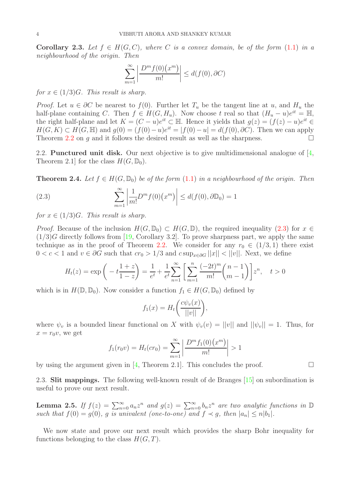**Corollary 2.3.** Let  $f \in H(G, C)$ , where C is a convex domain, be of the form [\(1.1\)](#page-0-0) in a neighbourhood of the origin. Then

$$
\sum_{m=1}^{\infty} \left| \frac{D^m f(0)(x^m)}{m!} \right| \le d(f(0), \partial C)
$$

for  $x \in (1/3)G$ . This result is sharp.

*Proof.* Let  $u \in \partial C$  be nearest to  $f(0)$ . Further let  $T_u$  be the tangent line at u, and  $H_u$  the half-plane containing C. Then  $f \in H(G, H_u)$ . Now choose t real so that  $(H_u - u)e^{it} = \mathbb{H}$ , the right half-plane and let  $K = (C - u)e^{it} \n\subset \mathbb{H}$ . Hence it yields that  $g(z) = (f(z) - u)e^{it} \in \mathbb{H}$ .  $H(G, K) \subset H(G, \mathbb{H})$  and  $g(0) = (f(0) - u)e^{it} = |f(0) - u| = d(f(0), \partial C)$ . Then we can apply Theorem [2.2](#page-2-0) on q and it follows the desired result as well as the sharpness.  $\square$ 

2.2. Punctured unit disk. Our next objective is to give multidimensional analogue of [\[4,](#page-6-12) Theorem 2.1 for the class  $H(G, \mathbb{D}_0)$ .

**Theorem 2.4.** Let  $f \in H(G, \mathbb{D}_0)$  be of the form  $(1.1)$  in a neighbourhood of the origin. Then

<span id="page-3-0"></span>(2.3) 
$$
\sum_{m=1}^{\infty} \left| \frac{1}{m!} D^m f(0) (x^m) \right| \le d(f(0), \partial \mathbb{D}_0) = 1
$$

for  $x \in (1/3)G$ . This result is sharp.

*Proof.* Because of the inclusion  $H(G, \mathbb{D}_0) \subset H(G, \mathbb{D})$ , the required inequality [\(2.3\)](#page-3-0) for  $x \in$  $(1/3)G$  directly follows from [\[19,](#page-7-4) Corollary 3.2]. To prove sharpness part, we apply the same technique as in the proof of Theorem [2.2.](#page-2-0) We consider for any  $r_0 \in (1/3, 1)$  there exist  $0 < c < 1$  and  $v \in \partial G$  such that  $cr_0 > 1/3$  and  $c \sup_{x \in \partial G} ||x|| < ||v||$ . Next, we define

$$
H_t(z) = \exp\left(-t\frac{1+z}{1-z}\right) = \frac{1}{e^t} + \frac{1}{e^t} \sum_{n=1}^{\infty} \left[\sum_{m=1}^n \frac{(-2t)^m}{m!} {n-1 \choose m-1} \right] z^n, \quad t > 0
$$

which is in  $H(\mathbb{D}, \mathbb{D}_0)$ . Now consider a function  $f_1 \in H(G, \mathbb{D}_0)$  defined by

$$
f_1(x) = H_t\bigg(\frac{c\psi_v(x)}{||v||}\bigg),\,
$$

where  $\psi_v$  is a bounded linear functional on X with  $\psi_v(v) = ||v||$  and  $||\psi_v|| = 1$ . Thus, for  $x = r_0v$ , we get

$$
f_1(r_0v) = H_t(c r_0) = \sum_{m=1}^{\infty} \left| \frac{D^m f_1(0)(x^m)}{m!} \right| > 1
$$

by using the argument given in [\[4,](#page-6-12) Theorem 2.1]. This concludes the proof.  $\Box$ 

2.3. Slit mappings. The following well-known result of de Branges [\[15\]](#page-6-17) on subordination is useful to prove our next result.

<span id="page-3-1"></span>**Lemma 2.5.** If  $f(z) = \sum_{n=0}^{\infty} a_n z^n$  and  $g(z) = \sum_{n=0}^{\infty} b_n z^n$  are two analytic functions in  $\mathbb{D}$ such that  $f(0) = g(0)$ , g is univalent (one-to-one) and  $f \prec g$ , then  $|a_n| \leq n|b_1|$ .

We now state and prove our next result which provides the sharp Bohr inequality for functions belonging to the class  $H(G, T)$ .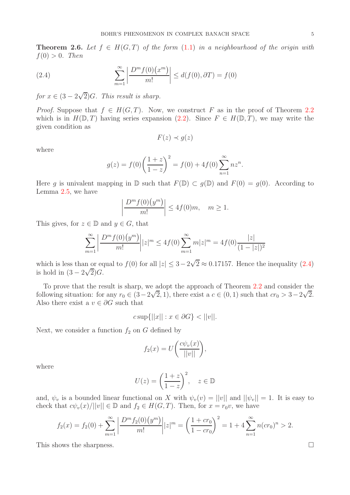**Theorem 2.6.** Let  $f \in H(G,T)$  of the form  $(1.1)$  in a neighbourhood of the origin with  $f(0) > 0$ . Then

<span id="page-4-0"></span>(2.4) 
$$
\sum_{m=1}^{\infty} \left| \frac{D^m f(0)(x^m)}{m!} \right| \le d(f(0), \partial T) = f(0)
$$

for  $x \in (3 - 2\sqrt{2})$ G. This result is sharp.

*Proof.* Suppose that  $f \in H(G,T)$ . Now, we construct F as in the proof of Theorem [2.2](#page-2-0) which is in  $H(\mathbb{D}, T)$  having series expansion  $(2.2)$ . Since  $F \in H(\mathbb{D}, T)$ , we may write the given condition as

$$
F(z) \prec g(z)
$$

where

$$
g(z) = f(0) \left(\frac{1+z}{1-z}\right)^2 = f(0) + 4f(0) \sum_{n=1}^{\infty} nz^n.
$$

Here q is univalent mapping in  $\mathbb D$  such that  $F(\mathbb D) \subset q(\mathbb D)$  and  $F(0) = q(0)$ . According to Lemma [2.5,](#page-3-1) we have

$$
\left|\frac{D^m f(0)(y^m)}{m!}\right| \le 4f(0)m, \quad m \ge 1.
$$

This gives, for  $z \in \mathbb{D}$  and  $y \in G$ , that

$$
\sum_{m=1}^{\infty} \left| \frac{D^m f(0)(y^m)}{m!} \right| |z|^m \le 4f(0) \sum_{m=1}^{\infty} m |z|^m = 4f(0) \frac{|z|}{(1-|z|)^2}
$$

which is less than or equal to  $f(0)$  for all  $|z| \leq 3 - 2\sqrt{2} \approx 0.17157$ . Hence the inequality  $(2.4)$ is hold in  $(3-2\sqrt{2})G$ .

To prove that the result is sharp, we adopt the approach of Theorem [2.2](#page-2-0) and consider the following situation: for any  $r_0 \in (3-2\sqrt{2}, 1)$ , there exist a  $c \in (0, 1)$  such that  $cr_0 > 3-2\sqrt{2}$ . Also there exist a  $v \in \partial G$  such that

$$
c \sup\{||x|| : x \in \partial G\} < ||v||.
$$

Next, we consider a function  $f_2$  on G defined by

$$
f_2(x) = U\left(\frac{c\psi_v(x)}{||v||}\right),\,
$$

where

$$
U(z) = \left(\frac{1+z}{1-z}\right)^2, \quad z \in \mathbb{D}
$$

and,  $\psi_v$  is a bounded linear functional on X with  $\psi_v(v) = ||v||$  and  $||\psi_v|| = 1$ . It is easy to check that  $c\psi_v(x)/||v|| \in \mathbb{D}$  and  $f_2 \in H(G,T)$ . Then, for  $x = r_0v$ , we have

$$
f_2(x) = f_2(0) + \sum_{m=1}^{\infty} \left| \frac{D^m f_2(0)(y^m)}{m!} \right| |z|^m = \left( \frac{1 + cr_0}{1 - cr_0} \right)^2 = 1 + 4 \sum_{n=1}^{\infty} n (cr_0)^n > 2.
$$

This shows the sharpness.  $\square$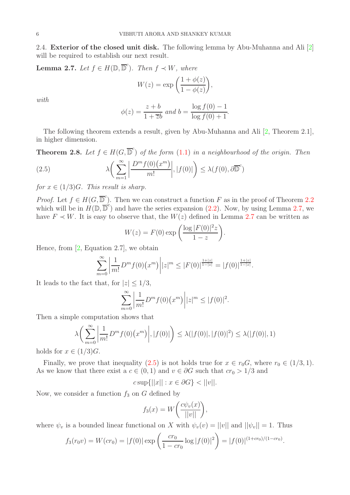2.4. **Exterior of the closed unit disk.** The following lemma by Abu-Muhanna and Ali [\[2\]](#page-6-10) will be required to establish our next result.

<span id="page-5-0"></span>**Lemma 2.7.** Let  $f \in H(\mathbb{D}, \overline{\mathbb{D}}^c)$ . Then  $f \prec W$ , where

$$
W(z) = \exp\left(\frac{1+\phi(z)}{1-\phi(z)}\right),\,
$$

with

<span id="page-5-1"></span>
$$
\phi(z) = \frac{z+b}{1+\overline{z}b} \text{ and } b = \frac{\log f(0) - 1}{\log f(0) + 1}.
$$

The following theorem extends a result, given by Abu-Muhanna and Ali [\[2,](#page-6-10) Theorem 2.1], in higher dimension.

**Theorem 2.8.** Let  $f \in H(G, \overline{D}^c)$  of the form  $(1.1)$  in a neighbourhood of the origin. Then

(2.5) 
$$
\lambda \left( \sum_{m=1}^{\infty} \left| \frac{D^m f(0)(x^m)}{m!} \right|, |f(0)| \right) \le \lambda(f(0), \partial \overline{\mathbb{D}}^c)
$$

for  $x \in (1/3)G$ . This result is sharp.

*Proof.* Let  $f \in H(G, \overline{D}_{\overline{C}}^c)$ . Then we can construct a function F as in the proof of Theorem [2.2](#page-2-0) which will be in  $H(\mathbb{D}, \overline{\mathbb{D}}^c)$  and have the series expansion [\(2.2\)](#page-2-1). Now, by using Lemma [2.7,](#page-5-0) we have  $F \prec W$ . It is easy to observe that, the  $W(z)$  defined in Lemma [2.7](#page-5-0) can be written as

$$
W(z) = F(0) \exp\left(\frac{\log |F(0)|^2 z}{1 - z}\right).
$$

Hence, from  $[2,$  Equation 2.7], we obtain

$$
\sum_{m=0}^{\infty} \left| \frac{1}{m!} D^m f(0) (x^m) \right| |z|^m \leq |F(0)|^{\frac{1+|z|}{1-|z|}} = |f(0)|^{\frac{1+|z|}{1-|z|}}.
$$

It leads to the fact that, for  $|z| \leq 1/3$ ,

$$
\sum_{m=0}^{\infty} \left| \frac{1}{m!} D^m f(0) (x^m) \right| |z|^m \le |f(0)|^2.
$$

Then a simple computation shows that

$$
\lambda \bigg( \sum_{m=0}^{\infty} \bigg| \frac{1}{m!} D^m f(0) (x^m) \bigg|, |f(0)| \bigg) \le \lambda (|f(0)|, |f(0)|^2) \le \lambda (|f(0)|, 1)
$$

holds for  $x \in (1/3)G$ .

Finally, we prove that inequality [\(2.5\)](#page-5-1) is not holds true for  $x \in r_0 G$ , where  $r_0 \in (1/3, 1)$ . As we know that there exist a  $c \in (0,1)$  and  $v \in \partial G$  such that  $cr_0 > 1/3$  and

$$
c \sup\{||x|| : x \in \partial G\} < ||v||.
$$

Now, we consider a function  $f_3$  on G defined by

$$
f_3(x) = W\bigg(\frac{c\psi_v(x)}{||v||}\bigg),\,
$$

where  $\psi_v$  is a bounded linear functional on X with  $\psi_v(v) = ||v||$  and  $||\psi_v|| = 1$ . Thus

$$
f_3(r_0v) = W(c r_0) = |f(0)| \exp\left(\frac{cr_0}{1 - cr_0} \log |f(0)|^2\right) = |f(0)|^{(1+cr_0)/(1-cr_0)}.
$$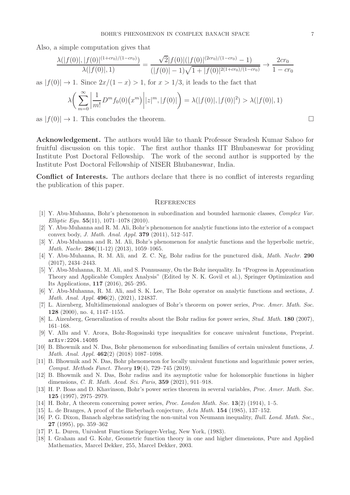Also, a simple computation gives that

$$
\frac{\lambda(|f(0)|,|f(0)|^{(1+cr_0)/(1-cr_0)})}{\lambda(|f(0)|,1)} = \frac{\sqrt{2}|f(0)|(|f(0)|^{(2cr_0)/(1-cr_0)}-1)}{(|f(0)|-1)\sqrt{1+|f(0)|^{2(1+cr_0)/(1-cr_0)}}} \to \frac{2cr_0}{1-cr_0}
$$

as  $|f(0)| \to 1$ . Since  $2x/(1-x) > 1$ , for  $x > 1/3$ , it leads to the fact that

$$
\lambda \bigg( \sum_{m=0}^{\infty} \bigg| \frac{1}{m!} D^m f_0(0) (x^m) \bigg| |z|^m, |f(0)| \bigg) = \lambda (|f(0)|, |f(0)|^2) > \lambda (|f(0)|, 1)
$$

as  $|f(0)| \to 1$ . This concludes the theorem.

Acknowledgement. The authors would like to thank Professor Swadesh Kumar Sahoo for fruitful discussion on this topic. The first author thanks IIT Bhubaneswar for providing Institute Post Doctoral Fellowship. The work of the second author is supported by the Institute Post Doctoral Fellowship of NISER Bhubaneswar, India.

Conflict of Interests. The authors declare that there is no conflict of interests regarding the publication of this paper.

### **REFERENCES**

- <span id="page-6-14"></span>[1] Y. Abu-Muhanna, Bohr's phenomenon in subordination and bounded harmonic classes, Complex Var. Elliptic Equ.  $55(11)$ ,  $1071-1078$  (2010).
- <span id="page-6-10"></span>[2] Y. Abu-Muhanna and R. M. Ali, Bohr's phenomenon for analytic functions into the exterior of a compact convex body, J. Math. Anal. Appl. 379 (2011), 512–517.
- <span id="page-6-11"></span>[3] Y. Abu-Muhanna and R. M. Ali, Bohr's phenomenon for analytic functions and the hyperbolic metric, Math. Nachr. 286(11-12) (2013), 1059–1065.
- <span id="page-6-12"></span>[4] Y. Abu-Muhanna, R. M. Ali, and Z. C. Ng, Bohr radius for the punctured disk, *Math. Nachr.* 290 (2017), 2434–2443.
- <span id="page-6-3"></span>[5] Y. Abu-Muhanna, R. M. Ali, and S. Ponnusamy, On the Bohr inequality. In "Progress in Approximation Theory and Applicable Complex Analysis" (Edited by N. K. Govil et al.), Springer Optimization and Its Applications, 117 (2016), 265–295.
- <span id="page-6-4"></span>[6] Y. Abu-Muhanna, R. M. Ali, and S. K. Lee, The Bohr operator on analytic functions and sections, J. Math. Anal. Appl. 496(2), (2021), 124837.
- <span id="page-6-7"></span>[7] L. Aizenberg, Multidimensional analogues of Bohr's theorem on power series, Proc. Amer. Math. Soc. 128 (2000), no. 4, 1147–1155.
- <span id="page-6-15"></span><span id="page-6-9"></span>[8] L. Aizenberg, Generalization of results about the Bohr radius for power series, Stud. Math. 180 (2007), 161–168.
- <span id="page-6-16"></span>[9] V. Allu and V. Arora, Bohr-Rogosinski type inequalities for concave univalent functions, Preprint. arXiv:2204.14085
- [10] B. Bhowmik and N. Das, Bohr phenomenon for subordinating families of certain univalent functions, J. Math. Anal. Appl. 462(2) (2018) 1087–1098.
- <span id="page-6-5"></span>[11] B. Bhowmik and N. Das, Bohr phenomenon for locally univalent functions and logarithmic power series, Comput. Methods Funct. Theory 19(4), 729–745 (2019).
- <span id="page-6-8"></span>[12] B. Bhowmik and N. Das, Bohr radius and its asymptotic value for holomorphic functions in higher dimensions, C. R. Math. Acad. Sci. Paris, 359 (2021), 911–918.
- <span id="page-6-6"></span>[13] H. P. Boas and D. Khavinson, Bohr's power series theorem in several variables, Proc. Amer. Math. Soc. 125 (1997), 2975–2979.
- <span id="page-6-17"></span><span id="page-6-1"></span>[14] H. Bohr, A theorem concerning power series, *Proc. London Math. Soc.* 13(2) (1914), 1–5.
- <span id="page-6-2"></span>[15] L. de Branges, A proof of the Bieberbach conjecture, Acta Math. 154 (1985), 137–152.
- [16] P. G. Dixon, Banach algebras satisfying the non-unital von Neumann inequality, Bull. Lond. Math. Soc., 27 (1995), pp. 359–362
- <span id="page-6-13"></span><span id="page-6-0"></span>[17] P. L. Duren, Univalent Functions Springer-Verlag, New York, (1983).
- [18] I. Graham and G. Kohr, Geometric function theory in one and higher dimensions, Pure and Applied Mathematics, Marcel Dekker, 255, Marcel Dekker, 2003.